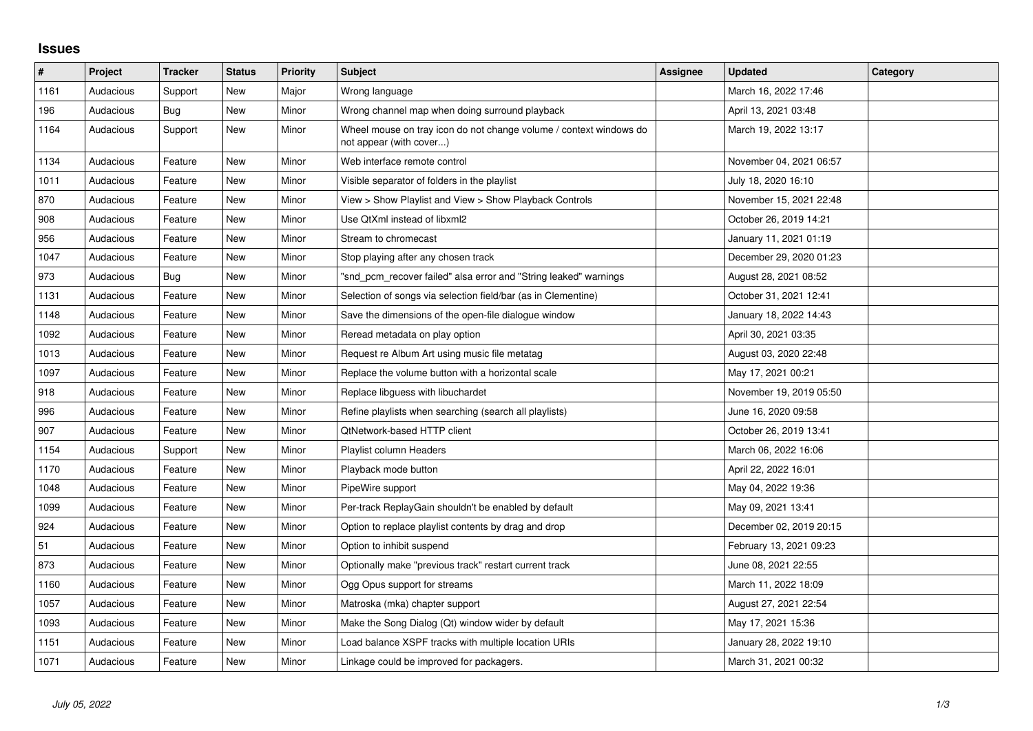## **Issues**

| $\vert$ # | Project   | <b>Tracker</b> | <b>Status</b> | <b>Priority</b> | <b>Subject</b>                                                                                | <b>Assignee</b> | <b>Updated</b>          | Category |
|-----------|-----------|----------------|---------------|-----------------|-----------------------------------------------------------------------------------------------|-----------------|-------------------------|----------|
| 1161      | Audacious | Support        | <b>New</b>    | Major           | Wrong language                                                                                |                 | March 16, 2022 17:46    |          |
| 196       | Audacious | Bug            | New           | Minor           | Wrong channel map when doing surround playback                                                |                 | April 13, 2021 03:48    |          |
| 1164      | Audacious | Support        | New           | Minor           | Wheel mouse on tray icon do not change volume / context windows do<br>not appear (with cover) |                 | March 19, 2022 13:17    |          |
| 1134      | Audacious | Feature        | New           | Minor           | Web interface remote control                                                                  |                 | November 04, 2021 06:57 |          |
| 1011      | Audacious | Feature        | <b>New</b>    | Minor           | Visible separator of folders in the playlist                                                  |                 | July 18, 2020 16:10     |          |
| 870       | Audacious | Feature        | <b>New</b>    | Minor           | View > Show Playlist and View > Show Playback Controls                                        |                 | November 15, 2021 22:48 |          |
| 908       | Audacious | Feature        | <b>New</b>    | Minor           | Use QtXml instead of libxml2                                                                  |                 | October 26, 2019 14:21  |          |
| 956       | Audacious | Feature        | <b>New</b>    | Minor           | Stream to chromecast                                                                          |                 | January 11, 2021 01:19  |          |
| 1047      | Audacious | Feature        | <b>New</b>    | Minor           | Stop playing after any chosen track                                                           |                 | December 29, 2020 01:23 |          |
| 973       | Audacious | <b>Bug</b>     | <b>New</b>    | Minor           | "snd_pcm_recover failed" alsa error and "String leaked" warnings                              |                 | August 28, 2021 08:52   |          |
| 1131      | Audacious | Feature        | <b>New</b>    | Minor           | Selection of songs via selection field/bar (as in Clementine)                                 |                 | October 31, 2021 12:41  |          |
| 1148      | Audacious | Feature        | New           | Minor           | Save the dimensions of the open-file dialogue window                                          |                 | January 18, 2022 14:43  |          |
| 1092      | Audacious | Feature        | <b>New</b>    | Minor           | Reread metadata on play option                                                                |                 | April 30, 2021 03:35    |          |
| 1013      | Audacious | Feature        | New           | Minor           | Request re Album Art using music file metatag                                                 |                 | August 03, 2020 22:48   |          |
| 1097      | Audacious | Feature        | <b>New</b>    | Minor           | Replace the volume button with a horizontal scale                                             |                 | May 17, 2021 00:21      |          |
| 918       | Audacious | Feature        | <b>New</b>    | Minor           | Replace libguess with libuchardet                                                             |                 | November 19, 2019 05:50 |          |
| 996       | Audacious | Feature        | <b>New</b>    | Minor           | Refine playlists when searching (search all playlists)                                        |                 | June 16, 2020 09:58     |          |
| 907       | Audacious | Feature        | New           | Minor           | QtNetwork-based HTTP client                                                                   |                 | October 26, 2019 13:41  |          |
| 1154      | Audacious | Support        | <b>New</b>    | Minor           | Playlist column Headers                                                                       |                 | March 06, 2022 16:06    |          |
| 1170      | Audacious | Feature        | <b>New</b>    | Minor           | Playback mode button                                                                          |                 | April 22, 2022 16:01    |          |
| 1048      | Audacious | Feature        | <b>New</b>    | Minor           | PipeWire support                                                                              |                 | May 04, 2022 19:36      |          |
| 1099      | Audacious | Feature        | <b>New</b>    | Minor           | Per-track ReplayGain shouldn't be enabled by default                                          |                 | May 09, 2021 13:41      |          |
| 924       | Audacious | Feature        | <b>New</b>    | Minor           | Option to replace playlist contents by drag and drop                                          |                 | December 02, 2019 20:15 |          |
| 51        | Audacious | Feature        | New           | Minor           | Option to inhibit suspend                                                                     |                 | February 13, 2021 09:23 |          |
| 873       | Audacious | Feature        | <b>New</b>    | Minor           | Optionally make "previous track" restart current track                                        |                 | June 08, 2021 22:55     |          |
| 1160      | Audacious | Feature        | <b>New</b>    | Minor           | Ogg Opus support for streams                                                                  |                 | March 11, 2022 18:09    |          |
| 1057      | Audacious | Feature        | <b>New</b>    | Minor           | Matroska (mka) chapter support                                                                |                 | August 27, 2021 22:54   |          |
| 1093      | Audacious | Feature        | New           | Minor           | Make the Song Dialog (Qt) window wider by default                                             |                 | May 17, 2021 15:36      |          |
| 1151      | Audacious | Feature        | <b>New</b>    | Minor           | Load balance XSPF tracks with multiple location URIs                                          |                 | January 28, 2022 19:10  |          |
| 1071      | Audacious | Feature        | <b>New</b>    | Minor           | Linkage could be improved for packagers.                                                      |                 | March 31, 2021 00:32    |          |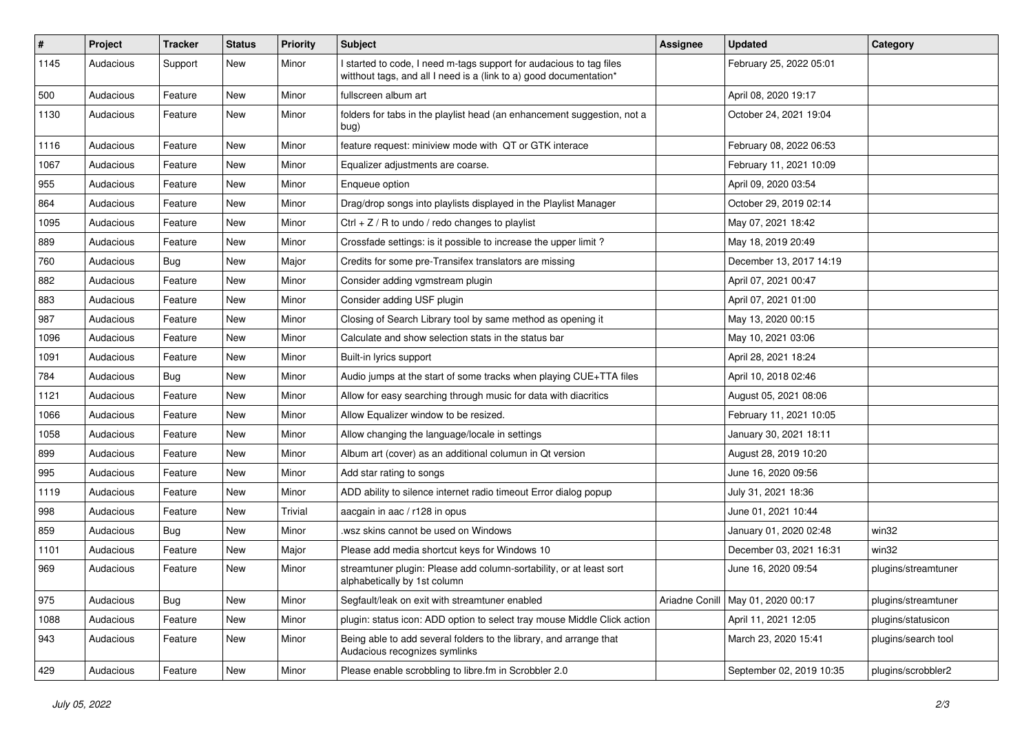| #    | Project   | <b>Tracker</b> | <b>Status</b> | <b>Priority</b> | Subject                                                                                                                                   | <b>Assignee</b> | <b>Updated</b>                      | Category            |
|------|-----------|----------------|---------------|-----------------|-------------------------------------------------------------------------------------------------------------------------------------------|-----------------|-------------------------------------|---------------------|
| 1145 | Audacious | Support        | New           | Minor           | I started to code, I need m-tags support for audacious to tag files<br>witthout tags, and all I need is a (link to a) good documentation* |                 | February 25, 2022 05:01             |                     |
| 500  | Audacious | Feature        | New           | Minor           | fullscreen album art                                                                                                                      |                 | April 08, 2020 19:17                |                     |
| 1130 | Audacious | Feature        | New           | Minor           | folders for tabs in the playlist head (an enhancement suggestion, not a<br>bug)                                                           |                 | October 24, 2021 19:04              |                     |
| 1116 | Audacious | Feature        | New           | Minor           | feature request: miniview mode with QT or GTK interace                                                                                    |                 | February 08, 2022 06:53             |                     |
| 1067 | Audacious | Feature        | New           | Minor           | Equalizer adjustments are coarse.                                                                                                         |                 | February 11, 2021 10:09             |                     |
| 955  | Audacious | Feature        | New           | Minor           | Enqueue option                                                                                                                            |                 | April 09, 2020 03:54                |                     |
| 864  | Audacious | Feature        | New           | Minor           | Drag/drop songs into playlists displayed in the Playlist Manager                                                                          |                 | October 29, 2019 02:14              |                     |
| 1095 | Audacious | Feature        | <b>New</b>    | Minor           | Ctrl + $Z$ / R to undo / redo changes to playlist                                                                                         |                 | May 07, 2021 18:42                  |                     |
| 889  | Audacious | Feature        | New           | Minor           | Crossfade settings: is it possible to increase the upper limit?                                                                           |                 | May 18, 2019 20:49                  |                     |
| 760  | Audacious | <b>Bug</b>     | New           | Major           | Credits for some pre-Transifex translators are missing                                                                                    |                 | December 13, 2017 14:19             |                     |
| 882  | Audacious | Feature        | New           | Minor           | Consider adding vgmstream plugin                                                                                                          |                 | April 07, 2021 00:47                |                     |
| 883  | Audacious | Feature        | New           | Minor           | Consider adding USF plugin                                                                                                                |                 | April 07, 2021 01:00                |                     |
| 987  | Audacious | Feature        | <b>New</b>    | Minor           | Closing of Search Library tool by same method as opening it                                                                               |                 | May 13, 2020 00:15                  |                     |
| 1096 | Audacious | Feature        | New           | Minor           | Calculate and show selection stats in the status bar                                                                                      |                 | May 10, 2021 03:06                  |                     |
| 1091 | Audacious | Feature        | New           | Minor           | Built-in lyrics support                                                                                                                   |                 | April 28, 2021 18:24                |                     |
| 784  | Audacious | <b>Bug</b>     | New           | Minor           | Audio jumps at the start of some tracks when playing CUE+TTA files                                                                        |                 | April 10, 2018 02:46                |                     |
| 1121 | Audacious | Feature        | New           | Minor           | Allow for easy searching through music for data with diacritics                                                                           |                 | August 05, 2021 08:06               |                     |
| 1066 | Audacious | Feature        | <b>New</b>    | Minor           | Allow Equalizer window to be resized.                                                                                                     |                 | February 11, 2021 10:05             |                     |
| 1058 | Audacious | Feature        | New           | Minor           | Allow changing the language/locale in settings                                                                                            |                 | January 30, 2021 18:11              |                     |
| 899  | Audacious | Feature        | New           | Minor           | Album art (cover) as an additional columun in Qt version                                                                                  |                 | August 28, 2019 10:20               |                     |
| 995  | Audacious | Feature        | New           | Minor           | Add star rating to songs                                                                                                                  |                 | June 16, 2020 09:56                 |                     |
| 1119 | Audacious | Feature        | New           | Minor           | ADD ability to silence internet radio timeout Error dialog popup                                                                          |                 | July 31, 2021 18:36                 |                     |
| 998  | Audacious | Feature        | New           | <b>Trivial</b>  | aacgain in aac / r128 in opus                                                                                                             |                 | June 01, 2021 10:44                 |                     |
| 859  | Audacious | Bug            | New           | Minor           | wsz skins cannot be used on Windows                                                                                                       |                 | January 01, 2020 02:48              | win32               |
| 1101 | Audacious | Feature        | <b>New</b>    | Major           | Please add media shortcut keys for Windows 10                                                                                             |                 | December 03, 2021 16:31             | win32               |
| 969  | Audacious | Feature        | <b>New</b>    | Minor           | streamtuner plugin: Please add column-sortability, or at least sort<br>alphabetically by 1st column                                       |                 | June 16, 2020 09:54                 | plugins/streamtuner |
| 975  | Audacious | <b>Bug</b>     | New           | Minor           | Segfault/leak on exit with streamtuner enabled                                                                                            |                 | Ariadne Conill   May 01, 2020 00:17 | plugins/streamtuner |
| 1088 | Audacious | Feature        | New           | Minor           | plugin: status icon: ADD option to select tray mouse Middle Click action                                                                  |                 | April 11, 2021 12:05                | plugins/statusicon  |
| 943  | Audacious | Feature        | New           | Minor           | Being able to add several folders to the library, and arrange that<br>Audacious recognizes symlinks                                       |                 | March 23, 2020 15:41                | plugins/search tool |
| 429  | Audacious | Feature        | New           | Minor           | Please enable scrobbling to libre.fm in Scrobbler 2.0                                                                                     |                 | September 02, 2019 10:35            | plugins/scrobbler2  |